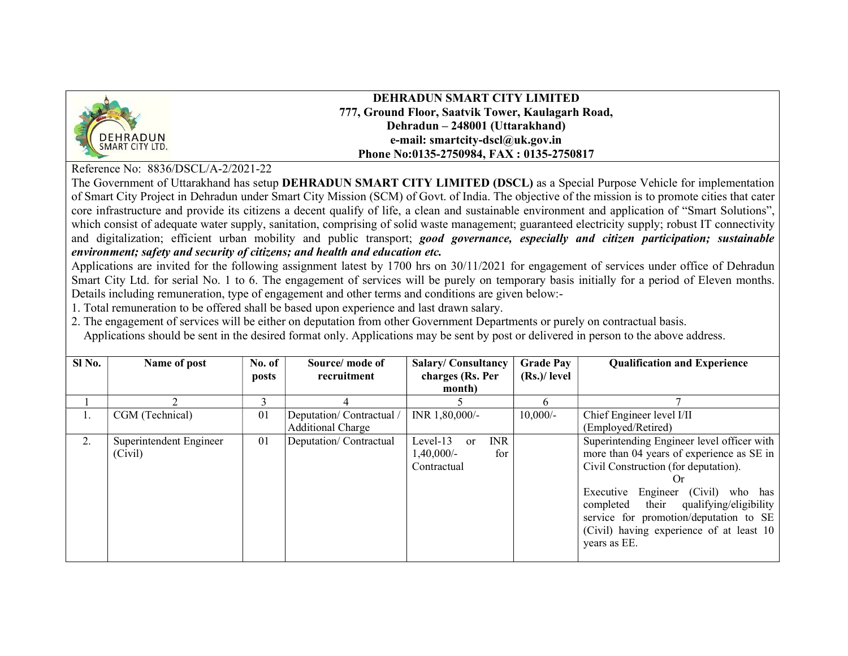

DEHRADUN SMART CITY LIMITED 777, Ground Floor, Saatvik Tower, Kaulagarh Road, Dehradun – 248001 (Uttarakhand) e-mail: smartcity-dscl@uk.gov.in Phone No:0135-2750984, FAX : 0135-2750817

Reference No: 8836/DSCL/A-2/2021-22

The Government of Uttarakhand has setup DEHRADUN SMART CITY LIMITED (DSCL) as a Special Purpose Vehicle for implementation of Smart City Project in Dehradun under Smart City Mission (SCM) of Govt. of India. The objective of the mission is to promote cities that cater core infrastructure and provide its citizens a decent qualify of life, a clean and sustainable environment and application of "Smart Solutions", which consist of adequate water supply, sanitation, comprising of solid waste management; guaranteed electricity supply; robust IT connectivity and digitalization; efficient urban mobility and public transport; good governance, especially and citizen participation; sustainable environment; safety and security of citizens; and health and education etc.

Applications are invited for the following assignment latest by 1700 hrs on 30/11/2021 for engagement of services under office of Dehradun Smart City Ltd. for serial No. 1 to 6. The engagement of services will be purely on temporary basis initially for a period of Eleven months. Details including remuneration, type of engagement and other terms and conditions are given below:-

1. Total remuneration to be offered shall be based upon experience and last drawn salary.

2. The engagement of services will be either on deputation from other Government Departments or purely on contractual basis.

Applications should be sent in the desired format only. Applications may be sent by post or delivered in person to the above address.

| Sl No. | Name of post            | No. of | Source/mode of           | <b>Salary/Consultancy</b>               | <b>Grade Pay</b> | <b>Qualification and Experience</b>        |
|--------|-------------------------|--------|--------------------------|-----------------------------------------|------------------|--------------------------------------------|
|        |                         | posts  | recruitment              | charges (Rs. Per                        | $(Rs.)/$ level   |                                            |
|        |                         |        |                          | month)                                  |                  |                                            |
|        |                         | ٦      |                          |                                         | <sub>t</sub>     |                                            |
| Ι.     | CGM (Technical)         | 01     | Deputation/Contractual/  | INR 1,80,000/-                          | $10,000/-$       | Chief Engineer level I/II                  |
|        |                         |        | <b>Additional Charge</b> |                                         |                  | (Employed/Retired)                         |
| 2.     | Superintendent Engineer | 01     | Deputation/Contractual   | <b>INR</b><br>Level-13<br><sub>or</sub> |                  | Superintending Engineer level officer with |
|        | (Civil)                 |        |                          | 1,40,000/-<br>for                       |                  | more than 04 years of experience as SE in  |
|        |                         |        |                          | Contractual                             |                  | Civil Construction (for deputation).       |
|        |                         |        |                          |                                         |                  | ( )r                                       |
|        |                         |        |                          |                                         |                  | Engineer (Civil) who has<br>Executive      |
|        |                         |        |                          |                                         |                  | completed their qualifying/eligibility     |
|        |                         |        |                          |                                         |                  | service for promotion/deputation to SE     |
|        |                         |        |                          |                                         |                  | (Civil) having experience of at least 10   |
|        |                         |        |                          |                                         |                  | years as EE.                               |
|        |                         |        |                          |                                         |                  |                                            |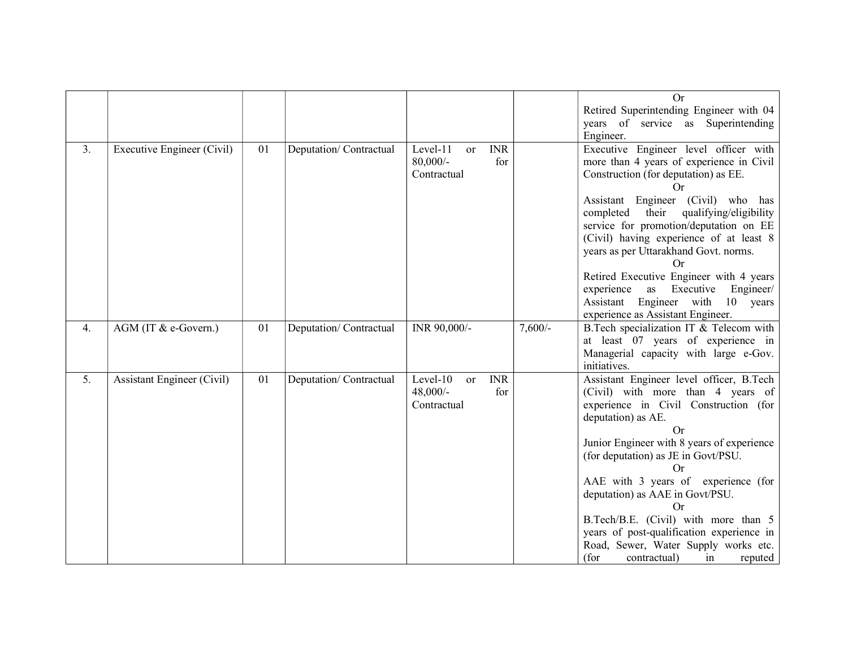|    |                                   |    |                        |                                                                         |           | Or<br>Retired Superintending Engineer with 04<br>years of service as Superintending<br>Engineer.                                                                                                                                                                                                                                                                                                                                                                                                                               |
|----|-----------------------------------|----|------------------------|-------------------------------------------------------------------------|-----------|--------------------------------------------------------------------------------------------------------------------------------------------------------------------------------------------------------------------------------------------------------------------------------------------------------------------------------------------------------------------------------------------------------------------------------------------------------------------------------------------------------------------------------|
| 3. | Executive Engineer (Civil)        | 01 | Deputation/Contractual | Level-11<br><b>INR</b><br>$\alpha$<br>$80,000/$ -<br>for<br>Contractual |           | Executive Engineer level officer with<br>more than 4 years of experience in Civil<br>Construction (for deputation) as EE.<br>Or<br>Assistant Engineer (Civil) who has<br>qualifying/eligibility<br>completed<br>their<br>service for promotion/deputation on EE<br>(Civil) having experience of at least 8<br>years as per Uttarakhand Govt. norms.<br>Or<br>Retired Executive Engineer with 4 years<br>Executive<br>Engineer/<br>experience<br>as<br>Assistant Engineer with<br>10 years<br>experience as Assistant Engineer. |
| 4. | AGM (IT & e-Govern.)              | 01 | Deputation/Contractual | INR 90,000/-                                                            | $7,600/-$ | B.Tech specialization IT & Telecom with<br>at least 07 years of experience in<br>Managerial capacity with large e-Gov.<br>initiatives.                                                                                                                                                                                                                                                                                                                                                                                         |
| 5. | <b>Assistant Engineer (Civil)</b> | 01 | Deputation/Contractual | Level-10<br><b>INR</b><br><b>or</b><br>48,000/-<br>for<br>Contractual   |           | Assistant Engineer level officer, B.Tech<br>(Civil) with more than 4 years of<br>experience in Civil Construction (for<br>deputation) as AE.<br><b>Or</b><br>Junior Engineer with 8 years of experience<br>(for deputation) as JE in Govt/PSU.<br>Or<br>AAE with 3 years of experience (for<br>deputation) as AAE in Govt/PSU.<br><b>Or</b><br>B.Tech/B.E. (Civil) with more than 5<br>years of post-qualification experience in<br>Road, Sewer, Water Supply works etc.<br>(for<br>contractual)<br>in<br>reputed              |